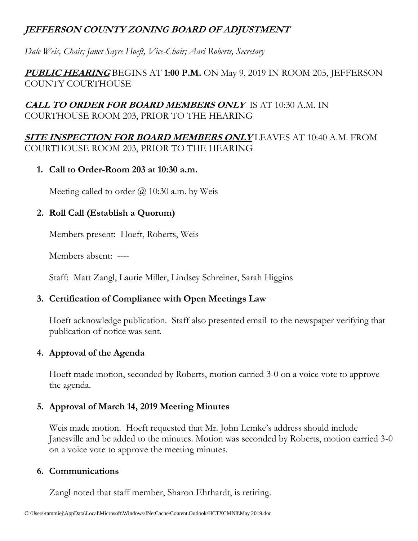## **JEFFERSON COUNTY ZONING BOARD OF ADJUSTMENT**

*Dale Weis, Chair; Janet Sayre Hoeft, Vice-Chair; Aari Roberts, Secretary* 

#### **PUBLIC HEARING** BEGINS AT **1:00 P.M.** ON May 9, 2019 IN ROOM 205, JEFFERSON COUNTY COURTHOUSE

#### **CALL TO ORDER FOR BOARD MEMBERS ONLY** IS AT 10:30 A.M. IN COURTHOUSE ROOM 203, PRIOR TO THE HEARING

**SITE INSPECTION FOR BOARD MEMBERS ONLY** LEAVES AT 10:40 A.M. FROM COURTHOUSE ROOM 203, PRIOR TO THE HEARING

**1. Call to Order-Room 203 at 10:30 a.m.**

Meeting called to order  $\omega$  10:30 a.m. by Weis

## **2. Roll Call (Establish a Quorum)**

Members present: Hoeft, Roberts, Weis

Members absent: ----

Staff: Matt Zangl, Laurie Miller, Lindsey Schreiner, Sarah Higgins

## **3. Certification of Compliance with Open Meetings Law**

Hoeft acknowledge publication. Staff also presented email to the newspaper verifying that publication of notice was sent.

## **4. Approval of the Agenda**

Hoeft made motion, seconded by Roberts, motion carried 3-0 on a voice vote to approve the agenda.

## **5. Approval of March 14, 2019 Meeting Minutes**

Weis made motion. Hoeft requested that Mr. John Lemke's address should include Janesville and be added to the minutes. Motion was seconded by Roberts, motion carried 3-0 on a voice vote to approve the meeting minutes.

#### **6. Communications**

Zangl noted that staff member, Sharon Ehrhardt, is retiring.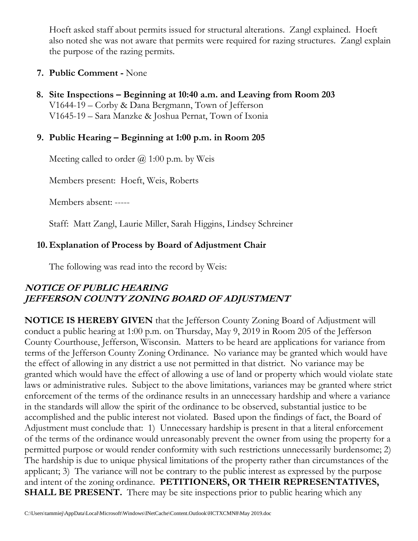Hoeft asked staff about permits issued for structural alterations. Zangl explained. Hoeft also noted she was not aware that permits were required for razing structures. Zangl explain the purpose of the razing permits.

#### **7. Public Comment -** None

 **8. Site Inspections – Beginning at 10:40 a.m. and Leaving from Room 203** V1644-19 – Corby & Dana Bergmann, Town of Jefferson V1645-19 – Sara Manzke & Joshua Pernat, Town of Ixonia

#### **9. Public Hearing – Beginning at 1:00 p.m. in Room 205**

Meeting called to order  $\omega$  1:00 p.m. by Weis

Members present: Hoeft, Weis, Roberts

Members absent: -----

Staff: Matt Zangl, Laurie Miller, Sarah Higgins, Lindsey Schreiner

## **10. Explanation of Process by Board of Adjustment Chair**

The following was read into the record by Weis:

# **NOTICE OF PUBLIC HEARING JEFFERSON COUNTY ZONING BOARD OF ADJUSTMENT**

**NOTICE IS HEREBY GIVEN** that the Jefferson County Zoning Board of Adjustment will conduct a public hearing at 1:00 p.m. on Thursday, May 9, 2019 in Room 205 of the Jefferson County Courthouse, Jefferson, Wisconsin. Matters to be heard are applications for variance from terms of the Jefferson County Zoning Ordinance. No variance may be granted which would have the effect of allowing in any district a use not permitted in that district. No variance may be granted which would have the effect of allowing a use of land or property which would violate state laws or administrative rules. Subject to the above limitations, variances may be granted where strict enforcement of the terms of the ordinance results in an unnecessary hardship and where a variance in the standards will allow the spirit of the ordinance to be observed, substantial justice to be accomplished and the public interest not violated. Based upon the findings of fact, the Board of Adjustment must conclude that: 1) Unnecessary hardship is present in that a literal enforcement of the terms of the ordinance would unreasonably prevent the owner from using the property for a permitted purpose or would render conformity with such restrictions unnecessarily burdensome; 2) The hardship is due to unique physical limitations of the property rather than circumstances of the applicant; 3) The variance will not be contrary to the public interest as expressed by the purpose and intent of the zoning ordinance. **PETITIONERS, OR THEIR REPRESENTATIVES, SHALL BE PRESENT.** There may be site inspections prior to public hearing which any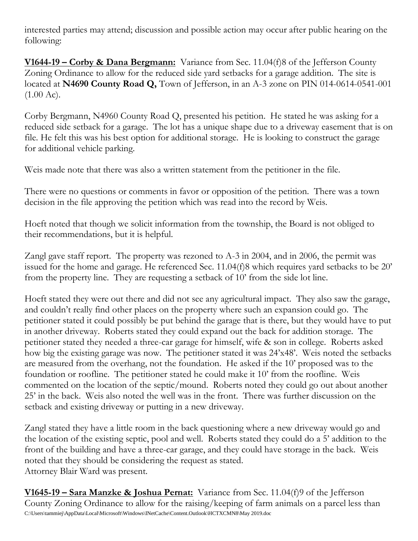interested parties may attend; discussion and possible action may occur after public hearing on the following:

**V1644-19 – Corby & Dana Bergmann:** Variance from Sec. 11.04(f)8 of the Jefferson County Zoning Ordinance to allow for the reduced side yard setbacks for a garage addition. The site is located at **N4690 County Road Q,** Town of Jefferson, in an A-3 zone on PIN 014-0614-0541-001  $(1.00 \text{ Ac})$ .

Corby Bergmann, N4960 County Road Q, presented his petition. He stated he was asking for a reduced side setback for a garage. The lot has a unique shape due to a driveway easement that is on file. He felt this was his best option for additional storage. He is looking to construct the garage for additional vehicle parking.

Weis made note that there was also a written statement from the petitioner in the file.

There were no questions or comments in favor or opposition of the petition. There was a town decision in the file approving the petition which was read into the record by Weis.

Hoeft noted that though we solicit information from the township, the Board is not obliged to their recommendations, but it is helpful.

Zangl gave staff report. The property was rezoned to A-3 in 2004, and in 2006, the permit was issued for the home and garage. He referenced Sec. 11.04(f)8 which requires yard setbacks to be 20' from the property line. They are requesting a setback of 10' from the side lot line.

Hoeft stated they were out there and did not see any agricultural impact. They also saw the garage, and couldn't really find other places on the property where such an expansion could go. The petitioner stated it could possibly be put behind the garage that is there, but they would have to put in another driveway. Roberts stated they could expand out the back for addition storage. The petitioner stated they needed a three-car garage for himself, wife & son in college. Roberts asked how big the existing garage was now. The petitioner stated it was 24'x48'. Weis noted the setbacks are measured from the overhang, not the foundation. He asked if the 10' proposed was to the foundation or roofline. The petitioner stated he could make it 10' from the roofline. Weis commented on the location of the septic/mound. Roberts noted they could go out about another 25' in the back. Weis also noted the well was in the front. There was further discussion on the setback and existing driveway or putting in a new driveway.

Zangl stated they have a little room in the back questioning where a new driveway would go and the location of the existing septic, pool and well. Roberts stated they could do a 5' addition to the front of the building and have a three-car garage, and they could have storage in the back. Weis noted that they should be considering the request as stated. Attorney Blair Ward was present.

C:\Users\tammiej\AppData\Local\Microsoft\Windows\INetCache\Content.Outlook\HCTXCMN8\May 2019.doc **V1645-19 – Sara Manzke & Joshua Pernat:** Variance from Sec. 11.04(f)9 of the Jefferson County Zoning Ordinance to allow for the raising/keeping of farm animals on a parcel less than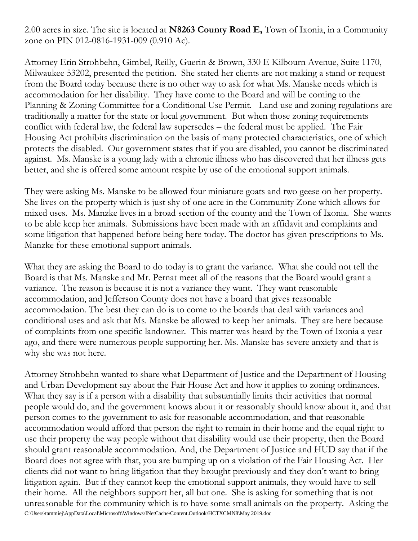2.00 acres in size. The site is located at **N8263 County Road E,** Town of Ixonia, in a Community zone on PIN 012-0816-1931-009 (0.910 Ac).

Attorney Erin Strohbehn, Gimbel, Reilly, Guerin & Brown, 330 E Kilbourn Avenue, Suite 1170, Milwaukee 53202, presented the petition. She stated her clients are not making a stand or request from the Board today because there is no other way to ask for what Ms. Manske needs which is accommodation for her disability. They have come to the Board and will be coming to the Planning & Zoning Committee for a Conditional Use Permit. Land use and zoning regulations are traditionally a matter for the state or local government. But when those zoning requirements conflict with federal law, the federal law supersedes – the federal must be applied. The Fair Housing Act prohibits discrimination on the basis of many protected characteristics, one of which protects the disabled. Our government states that if you are disabled, you cannot be discriminated against. Ms. Manske is a young lady with a chronic illness who has discovered that her illness gets better, and she is offered some amount respite by use of the emotional support animals.

They were asking Ms. Manske to be allowed four miniature goats and two geese on her property. She lives on the property which is just shy of one acre in the Community Zone which allows for mixed uses. Ms. Manzke lives in a broad section of the county and the Town of Ixonia. She wants to be able keep her animals. Submissions have been made with an affidavit and complaints and some litigation that happened before being here today. The doctor has given prescriptions to Ms. Manzke for these emotional support animals.

What they are asking the Board to do today is to grant the variance. What she could not tell the Board is that Ms. Manske and Mr. Pernat meet all of the reasons that the Board would grant a variance. The reason is because it is not a variance they want. They want reasonable accommodation, and Jefferson County does not have a board that gives reasonable accommodation. The best they can do is to come to the boards that deal with variances and conditional uses and ask that Ms. Manske be allowed to keep her animals. They are here because of complaints from one specific landowner. This matter was heard by the Town of Ixonia a year ago, and there were numerous people supporting her. Ms. Manske has severe anxiety and that is why she was not here.

C:\Users\tammiej\AppData\Local\Microsoft\Windows\INetCache\Content.Outlook\HCTXCMN8\May 2019.doc Attorney Strohbehn wanted to share what Department of Justice and the Department of Housing and Urban Development say about the Fair House Act and how it applies to zoning ordinances. What they say is if a person with a disability that substantially limits their activities that normal people would do, and the government knows about it or reasonably should know about it, and that person comes to the government to ask for reasonable accommodation, and that reasonable accommodation would afford that person the right to remain in their home and the equal right to use their property the way people without that disability would use their property, then the Board should grant reasonable accommodation. And, the Department of Justice and HUD say that if the Board does not agree with that, you are bumping up on a violation of the Fair Housing Act. Her clients did not want to bring litigation that they brought previously and they don't want to bring litigation again. But if they cannot keep the emotional support animals, they would have to sell their home. All the neighbors support her, all but one. She is asking for something that is not unreasonable for the community which is to have some small animals on the property. Asking the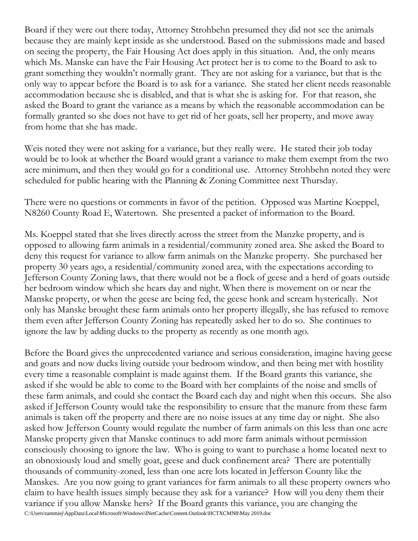Board if they were out there today, Attorney Strohbehn presumed they did not see the animals because they are mainly kept inside as she understood. Based on the submissions made and based on seeing the property, the Fair Housing Act does apply in this situation. And, the only means which Ms. Manske can have the Fair Housing Act protect her is to come to the Board to ask to grant something they wouldn't normally grant. They are not asking for a variance, but that is the only way to appear before the Board is to ask for a variance. She stated her client needs reasonable accommodation because she is disabled, and that is what she is asking for. For that reason, she asked the Board to grant the variance as a means by which the reasonable accommodation can be formally granted so she does not have to get rid of her goats, sell her property, and move away from home that she has made.

Weis noted they were not asking for a variance, but they really were. He stated their job today would be to look at whether the Board would grant a variance to make them exempt from the two acre minimum, and then they would go for a conditional use. Attorney Strohbehn noted they were scheduled for public hearing with the Planning & Zoning Committee next Thursday.

There were no questions or comments in favor of the petition. Opposed was Martine Koeppel, N8260 County Road E, Watertown. She presented a packet of information to the Board.

Ms. Koeppel stated that she lives directly across the street from the Manzke property, and is opposed to allowing farm animals in a residential/community zoned area. She asked the Board to deny this request for variance to allow farm animals on the Manzke property. She purchased her property 30 years ago, a residential/community zoned area, with the expectations according to Jefferson County Zoning laws, that there would not be a flock of geese and a herd of goats outside her bedroom window which she hears day and night. When there is movement on or near the Manske property, or when the geese are being fed, the geese honk and scream hysterically. Not only has Manske brought these farm animals onto her property illegally, she has refused to remove them even after Jefferson County Zoning has repeatedly asked her to do so. She continues to ignore the law by adding ducks to the property as recently as one month ago.

C:\Users\tammiej\AppData\Local\Microsoft\Windows\INetCache\Content.Outlook\HCTXCMN8\May 2019.doc Before the Board gives the unprecedented variance and serious consideration, imagine having geese and goats and now ducks living outside your bedroom window, and then being met with hostility every time a reasonable complaint is made against them. If the Board grants this variance, she asked if she would be able to come to the Board with her complaints of the noise and smells of these farm animals, and could she contact the Board each day and night when this occurs. She also asked if Jefferson County would take the responsibility to ensure that the manure from these farm animals is taken off the property and there are no noise issues at any time day or night. She also asked how Jefferson County would regulate the number of farm animals on this less than one acre Manske property given that Manske continues to add more farm animals without permission consciously choosing to ignore the law. Who is going to want to purchase a home located next to an obnoxiously loud and smelly goat, geese and duck confinement area? There are potentially thousands of community-zoned, less than one acre lots located in Jefferson County like the Manskes. Are you now going to grant variances for farm animals to all these property owners who claim to have health issues simply because they ask for a variance? How will you deny them their variance if you allow Manske hers? If the Board grants this variance, you are changing the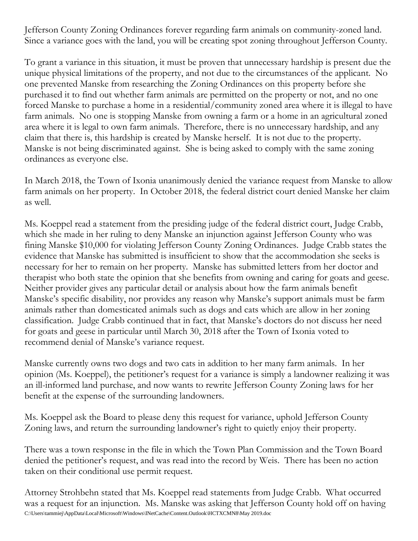Jefferson County Zoning Ordinances forever regarding farm animals on community-zoned land. Since a variance goes with the land, you will be creating spot zoning throughout Jefferson County.

To grant a variance in this situation, it must be proven that unnecessary hardship is present due the unique physical limitations of the property, and not due to the circumstances of the applicant. No one prevented Manske from researching the Zoning Ordinances on this property before she purchased it to find out whether farm animals are permitted on the property or not, and no one forced Manske to purchase a home in a residential/community zoned area where it is illegal to have farm animals. No one is stopping Manske from owning a farm or a home in an agricultural zoned area where it is legal to own farm animals. Therefore, there is no unnecessary hardship, and any claim that there is, this hardship is created by Manske herself. It is not due to the property. Manske is not being discriminated against. She is being asked to comply with the same zoning ordinances as everyone else.

In March 2018, the Town of Ixonia unanimously denied the variance request from Manske to allow farm animals on her property. In October 2018, the federal district court denied Manske her claim as well.

Ms. Koeppel read a statement from the presiding judge of the federal district court, Judge Crabb, which she made in her ruling to deny Manske an injunction against Jefferson County who was fining Manske \$10,000 for violating Jefferson County Zoning Ordinances. Judge Crabb states the evidence that Manske has submitted is insufficient to show that the accommodation she seeks is necessary for her to remain on her property. Manske has submitted letters from her doctor and therapist who both state the opinion that she benefits from owning and caring for goats and geese. Neither provider gives any particular detail or analysis about how the farm animals benefit Manske's specific disability, nor provides any reason why Manske's support animals must be farm animals rather than domesticated animals such as dogs and cats which are allow in her zoning classification. Judge Crabb continued that in fact, that Manske's doctors do not discuss her need for goats and geese in particular until March 30, 2018 after the Town of Ixonia voted to recommend denial of Manske's variance request.

Manske currently owns two dogs and two cats in addition to her many farm animals. In her opinion (Ms. Koeppel), the petitioner's request for a variance is simply a landowner realizing it was an ill-informed land purchase, and now wants to rewrite Jefferson County Zoning laws for her benefit at the expense of the surrounding landowners.

Ms. Koeppel ask the Board to please deny this request for variance, uphold Jefferson County Zoning laws, and return the surrounding landowner's right to quietly enjoy their property.

There was a town response in the file in which the Town Plan Commission and the Town Board denied the petitioner's request, and was read into the record by Weis. There has been no action taken on their conditional use permit request.

C:\Users\tammiej\AppData\Local\Microsoft\Windows\INetCache\Content.Outlook\HCTXCMN8\May 2019.doc Attorney Strohbehn stated that Ms. Koeppel read statements from Judge Crabb. What occurred was a request for an injunction. Ms. Manske was asking that Jefferson County hold off on having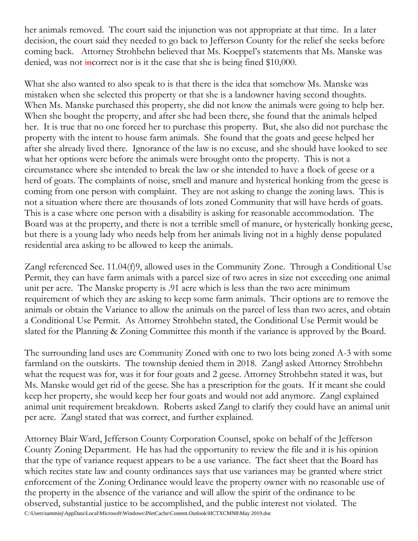her animals removed. The court said the injunction was not appropriate at that time. In a later decision, the court said they needed to go back to Jefferson County for the relief she seeks before coming back. Attorney Strohbehn believed that Ms. Koeppel's statements that Ms. Manske was denied, was not incorrect nor is it the case that she is being fined  $$10,000$ .

What she also wanted to also speak to is that there is the idea that somehow Ms. Manske was mistaken when she selected this property or that she is a landowner having second thoughts. When Ms. Manske purchased this property, she did not know the animals were going to help her. When she bought the property, and after she had been there, she found that the animals helped her. It is true that no one forced her to purchase this property. But, she also did not purchase the property with the intent to house farm animals. She found that the goats and geese helped her after she already lived there. Ignorance of the law is no excuse, and she should have looked to see what her options were before the animals were brought onto the property. This is not a circumstance where she intended to break the law or she intended to have a flock of geese or a herd of goats. The complaints of noise, smell and manure and hysterical honking from the geese is coming from one person with complaint. They are not asking to change the zoning laws. This is not a situation where there are thousands of lots zoned Community that will have herds of goats. This is a case where one person with a disability is asking for reasonable accommodation. The Board was at the property, and there is not a terrible smell of manure, or hysterically honking geese, but there is a young lady who needs help from her animals living not in a highly dense populated residential area asking to be allowed to keep the animals.

Zangl referenced Sec. 11.04(f)9, allowed uses in the Community Zone. Through a Conditional Use Permit, they can have farm animals with a parcel size of two acres in size not exceeding one animal unit per acre. The Manske property is .91 acre which is less than the two acre minimum requirement of which they are asking to keep some farm animals. Their options are to remove the animals or obtain the Variance to allow the animals on the parcel of less than two acres, and obtain a Conditional Use Permit. As Attorney Strohbehn stated, the Conditional Use Permit would be slated for the Planning & Zoning Committee this month if the variance is approved by the Board.

The surrounding land uses are Community Zoned with one to two lots being zoned A-3 with some farmland on the outskirts. The township denied them in 2018. Zangl asked Attorney Strohbehn what the request was for, was it for four goats and 2 geese. Attorney Strohbehn stated it was, but Ms. Manske would get rid of the geese. She has a prescription for the goats. If it meant she could keep her property, she would keep her four goats and would not add anymore. Zangl explained animal unit requirement breakdown. Roberts asked Zangl to clarify they could have an animal unit per acre. Zangl stated that was correct, and further explained.

C:\Users\tammiej\AppData\Local\Microsoft\Windows\INetCache\Content.Outlook\HCTXCMN8\May 2019.doc Attorney Blair Ward, Jefferson County Corporation Counsel, spoke on behalf of the Jefferson County Zoning Department. He has had the opportunity to review the file and it is his opinion that the type of variance request appears to be a use variance. The fact sheet that the Board has which recites state law and county ordinances says that use variances may be granted where strict enforcement of the Zoning Ordinance would leave the property owner with no reasonable use of the property in the absence of the variance and will allow the spirit of the ordinance to be observed, substantial justice to be accomplished, and the public interest not violated. The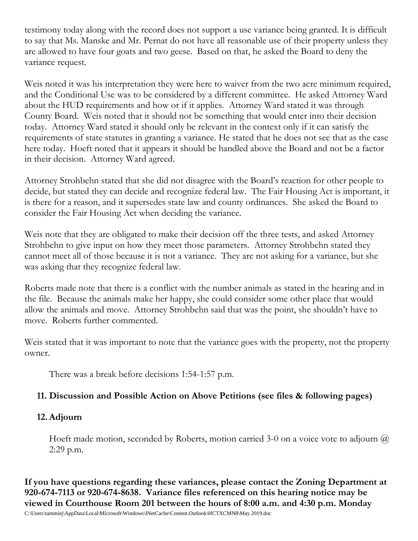testimony today along with the record does not support a use variance being granted. It is difficult to say that Ms. Manske and Mr. Pernat do not have all reasonable use of their property unless they are allowed to have four goats and two geese. Based on that, he asked the Board to deny the variance request.

Weis noted it was his interpretation they were here to waiver from the two acre minimum required, and the Conditional Use was to be considered by a different committee. He asked Attorney Ward about the HUD requirements and how or if it applies. Attorney Ward stated it was through County Board. Weis noted that it should not be something that would enter into their decision today. Attorney Ward stated it should only be relevant in the context only if it can satisfy the requirements of state statutes in granting a variance. He stated that he does not see that as the case here today. Hoeft noted that it appears it should be handled above the Board and not be a factor in their decision. Attorney Ward agreed.

Attorney Strohbehn stated that she did not disagree with the Board's reaction for other people to decide, but stated they can decide and recognize federal law. The Fair Housing Act is important, it is there for a reason, and it supersedes state law and county ordinances. She asked the Board to consider the Fair Housing Act when deciding the variance.

Weis note that they are obligated to make their decision off the three tests, and asked Attorney Strohbehn to give input on how they meet those parameters. Attorney Strohbehn stated they cannot meet all of those because it is not a variance. They are not asking for a variance, but she was asking that they recognize federal law.

Roberts made note that there is a conflict with the number animals as stated in the hearing and in the file. Because the animals make her happy, she could consider some other place that would allow the animals and move. Attorney Strohbehn said that was the point, she shouldn't have to move. Roberts further commented.

Weis stated that it was important to note that the variance goes with the property, not the property owner.

There was a break before decisions 1:54-1:57 p.m.

# **11. Discussion and Possible Action on Above Petitions (see files & following pages)**

## **12.Adjourn**

Hoeft made motion, seconded by Roberts, motion carried 3-0 on a voice vote to adjourn  $\omega$ 2:29 p.m.

C:\Users\tammiej\AppData\Local\Microsoft\Windows\INetCache\Content.Outlook\HCTXCMN8\May 2019.doc **If you have questions regarding these variances, please contact the Zoning Department at 920-674-7113 or 920-674-8638. Variance files referenced on this hearing notice may be viewed in Courthouse Room 201 between the hours of 8:00 a.m. and 4:30 p.m. Monday**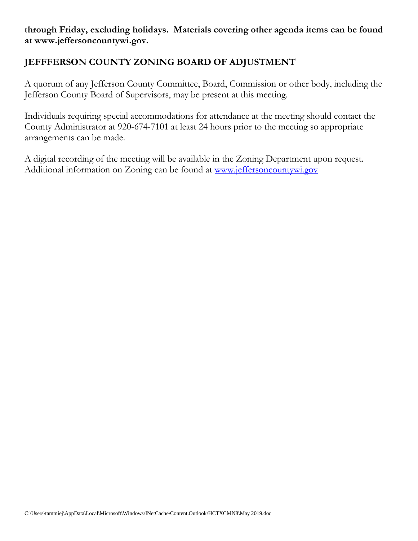**through Friday, excluding holidays. Materials covering other agenda items can be found at www.jeffersoncountywi.gov.**

## **JEFFFERSON COUNTY ZONING BOARD OF ADJUSTMENT**

A quorum of any Jefferson County Committee, Board, Commission or other body, including the Jefferson County Board of Supervisors, may be present at this meeting.

Individuals requiring special accommodations for attendance at the meeting should contact the County Administrator at 920-674-7101 at least 24 hours prior to the meeting so appropriate arrangements can be made.

A digital recording of the meeting will be available in the Zoning Department upon request. Additional information on Zoning can be found at [www.jeffersoncountywi.gov](http://www.jeffersoncountywi.gov/)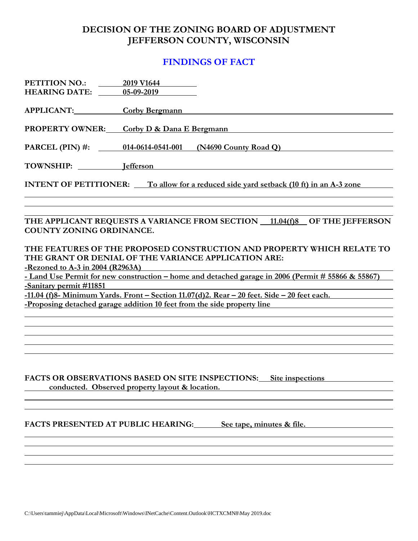#### **DECISION OF THE ZONING BOARD OF ADJUSTMENT JEFFERSON COUNTY, WISCONSIN**

#### **FINDINGS OF FACT**

| <b>PETITION NO.:</b>                                                                  | 2019 V1644                                              |  |  |  |  |
|---------------------------------------------------------------------------------------|---------------------------------------------------------|--|--|--|--|
| <b>HEARING DATE:</b>                                                                  | 05-09-2019                                              |  |  |  |  |
| APPLICANT:                                                                            | Corby Bergmann                                          |  |  |  |  |
| <b>PROPERTY OWNER:</b>                                                                | Corby D & Dana E Bergmann                               |  |  |  |  |
|                                                                                       | PARCEL (PIN) #: 014-0614-0541-001 (N4690 County Road Q) |  |  |  |  |
| TOWNSHIP: lefferson                                                                   |                                                         |  |  |  |  |
| INTENT OF PETITIONER: To allow for a reduced side yard setback (10 ft) in an A-3 zone |                                                         |  |  |  |  |
|                                                                                       |                                                         |  |  |  |  |

#### THE APPLICANT REQUESTS A VARIANCE FROM SECTION 11.04(f)8 OF THE JEFFERSON **COUNTY ZONING ORDINANCE.**

#### **THE FEATURES OF THE PROPOSED CONSTRUCTION AND PROPERTY WHICH RELATE TO THE GRANT OR DENIAL OF THE VARIANCE APPLICATION ARE: -Rezoned to A-3 in 2004 (R2963A)**

**- Land Use Permit for new construction – home and detached garage in 2006 (Permit # 55866 & 55867) -Sanitary permit #11851** 

**-11.04 (f)8- Minimum Yards. Front – Section 11.07(d)2. Rear – 20 feet. Side – 20 feet each. -Proposing detached garage addition 10 feet from the side property line**

#### **FACTS OR OBSERVATIONS BASED ON SITE INSPECTIONS: Site inspections conducted.** Observed property layout & location.

**FACTS PRESENTED AT PUBLIC HEARING: See tape, minutes & file.**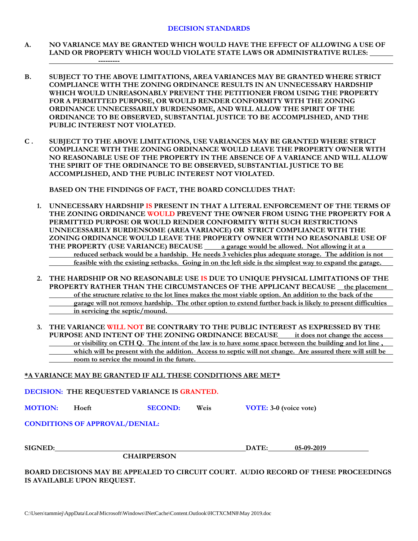- **A. NO VARIANCE MAY BE GRANTED WHICH WOULD HAVE THE EFFECT OF ALLOWING A USE OF LAND OR PROPERTY WHICH WOULD VIOLATE STATE LAWS OR ADMINISTRATIVE RULES:**
- **B. SUBJECT TO THE ABOVE LIMITATIONS, AREA VARIANCES MAY BE GRANTED WHERE STRICT COMPLIANCE WITH THE ZONING ORDINANCE RESULTS IN AN UNNECESSARY HARDSHIP WHICH WOULD UNREASONABLY PREVENT THE PETITIONER FROM USING THE PROPERTY FOR A PERMITTED PURPOSE, OR WOULD RENDER CONFORMITY WITH THE ZONING ORDINANCE UNNECESSARILY BURDENSOME, AND WILL ALLOW THE SPIRIT OF THE ORDINANCE TO BE OBSERVED, SUBSTANTIAL JUSTICE TO BE ACCOMPLISHED, AND THE PUBLIC INTEREST NOT VIOLATED.**
- **C . SUBJECT TO THE ABOVE LIMITATIONS, USE VARIANCES MAY BE GRANTED WHERE STRICT COMPLIANCE WITH THE ZONING ORDINANCE WOULD LEAVE THE PROPERTY OWNER WITH NO REASONABLE USE OF THE PROPERTY IN THE ABSENCE OF A VARIANCE AND WILL ALLOW THE SPIRIT OF THE ORDINANCE TO BE OBSERVED, SUBSTANTIAL JUSTICE TO BE ACCOMPLISHED, AND THE PUBLIC INTEREST NOT VIOLATED.**

**BASED ON THE FINDINGS OF FACT, THE BOARD CONCLUDES THAT:**

**---------**

- **1. UNNECESSARY HARDSHIP IS PRESENT IN THAT A LITERAL ENFORCEMENT OF THE TERMS OF THE ZONING ORDINANCE WOULD PREVENT THE OWNER FROM USING THE PROPERTY FOR A PERMITTED PURPOSE OR WOULD RENDER CONFORMITY WITH SUCH RESTRICTIONS UNNECESSARILY BURDENSOME (AREA VARIANCE) OR STRICT COMPLIANCE WITH THE ZONING ORDINANCE WOULD LEAVE THE PROPERTY OWNER WITH NO REASONABLE USE OF**  THE PROPERTY (USE VARIANCE) BECAUSE <u>a garage would be allowed. Not allowing it at a</u> **reduced setback would be a hardship. He needs 3 vehicles plus adequate storage. The addition is not feasible with the existing setbacks. Going in on the left side is the simplest way to expand the garage.**
- **2. THE HARDSHIP OR NO REASONABLE USE IS DUE TO UNIQUE PHYSICAL LIMITATIONS OF THE PROPERTY RATHER THAN THE CIRCUMSTANCES OF THE APPLICANT BECAUSE the placement of the structure relative to the lot lines makes the most viable option. An addition to the back of the garage will not remove hardship. The other option to extend further back is likely to present difficulties in servicing the septic/mound.**
- **3. THE VARIANCE WILL NOT BE CONTRARY TO THE PUBLIC INTEREST AS EXPRESSED BY THE PURPOSE AND INTENT OF THE ZONING ORDINANCE BECAUSE it does not change the access or visibility on CTH Q. The intent of the law is to have some space between the building and lot line , which will be present with the addition. Access to septic will not change. Are assured there will still be room to service the mound in the future.**

#### **\*A VARIANCE MAY BE GRANTED IF ALL THESE CONDITIONS ARE MET\***

|                                       | DECISION: THE REQUESTED VARIANCE IS GRANTED. |                    |      |                        |            |  |  |  |  |
|---------------------------------------|----------------------------------------------|--------------------|------|------------------------|------------|--|--|--|--|
| <b>MOTION:</b>                        | Hoeft                                        | <b>SECOND:</b>     | Weis | VOTE: 3-0 (voice vote) |            |  |  |  |  |
| <b>CONDITIONS OF APPROVAL/DENIAL:</b> |                                              |                    |      |                        |            |  |  |  |  |
| <b>SIGNED:</b>                        |                                              | <b>CHAIRPERSON</b> |      | DATE:                  | 05-09-2019 |  |  |  |  |

**BOARD DECISIONS MAY BE APPEALED TO CIRCUIT COURT. AUDIO RECORD OF THESE PROCEEDINGS IS AVAILABLE UPON REQUEST.**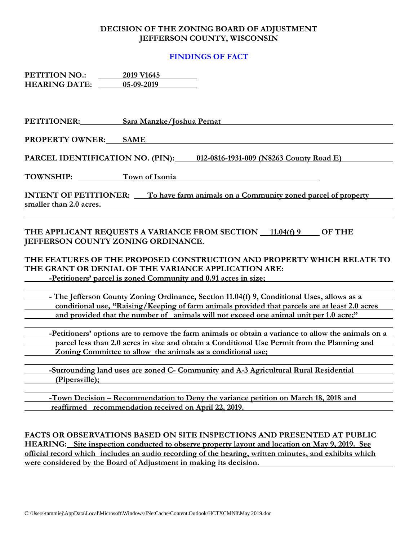#### **DECISION OF THE ZONING BOARD OF ADJUSTMENT JEFFERSON COUNTY, WISCONSIN**

#### **FINDINGS OF FACT**

**PETITION NO.: 2019 V1645 HEARING DATE: 05-09-2019**

| PETITIONER:                                                                                                                    | Sara Manzke/Joshua Pernat                                                                                                                                                                                                                                          |  |  |  |  |
|--------------------------------------------------------------------------------------------------------------------------------|--------------------------------------------------------------------------------------------------------------------------------------------------------------------------------------------------------------------------------------------------------------------|--|--|--|--|
| <b>PROPERTY OWNER:</b>                                                                                                         | <b>SAME</b>                                                                                                                                                                                                                                                        |  |  |  |  |
| PARCEL IDENTIFICATION NO. (PIN):                                                                                               | 012-0816-1931-009 (N8263 County Road E)                                                                                                                                                                                                                            |  |  |  |  |
| <b>TOWNSHIP:</b>                                                                                                               | Town of Ixonia                                                                                                                                                                                                                                                     |  |  |  |  |
| smaller than 2.0 acres.                                                                                                        | <b>INTENT OF PETITIONER:</b> To have farm animals on a Community zoned parcel of property                                                                                                                                                                          |  |  |  |  |
| JEFFERSON COUNTY ZONING ORDINANCE.                                                                                             | THE APPLICANT REQUESTS A VARIANCE FROM SECTION 11.04(f) 9<br><b>OF THE</b>                                                                                                                                                                                         |  |  |  |  |
| THE FEATURES OF THE PROPOSED CONSTRUCTION AND PROPERTY WHICH RELATE TO<br>THE GRANT OR DENIAL OF THE VARIANCE APPLICATION ARE: |                                                                                                                                                                                                                                                                    |  |  |  |  |
|                                                                                                                                | -Petitioners' parcel is zoned Community and 0.91 acres in size;                                                                                                                                                                                                    |  |  |  |  |
|                                                                                                                                | - The Jefferson County Zoning Ordinance, Section 11.04(f) 9, Conditional Uses, allows as a<br>conditional use, "Raising/Keeping of farm animals provided that parcels are at least 2.0 acres                                                                       |  |  |  |  |
|                                                                                                                                | and provided that the number of animals will not exceed one animal unit per 1.0 acre;"                                                                                                                                                                             |  |  |  |  |
|                                                                                                                                | -Petitioners' options are to remove the farm animals or obtain a variance to allow the animals on a<br>parcel less than 2.0 acres in size and obtain a Conditional Use Permit from the Planning and<br>Zoning Committee to allow the animals as a conditional use; |  |  |  |  |
| (Pipersville);                                                                                                                 | -Surrounding land uses are zoned C- Community and A-3 Agricultural Rural Residential                                                                                                                                                                               |  |  |  |  |
|                                                                                                                                | -Town Decision – Recommendation to Deny the variance petition on March 18, 2018 and<br>reaffirmed recommendation received on April 22, 2019.                                                                                                                       |  |  |  |  |

**FACTS OR OBSERVATIONS BASED ON SITE INSPECTIONS AND PRESENTED AT PUBLIC HEARING: Site inspection conducted to observe property layout and location on May 9, 2019. See official record which includes an audio recording of the hearing, written minutes, and exhibits which were considered by the Board of Adjustment in making its decision.**